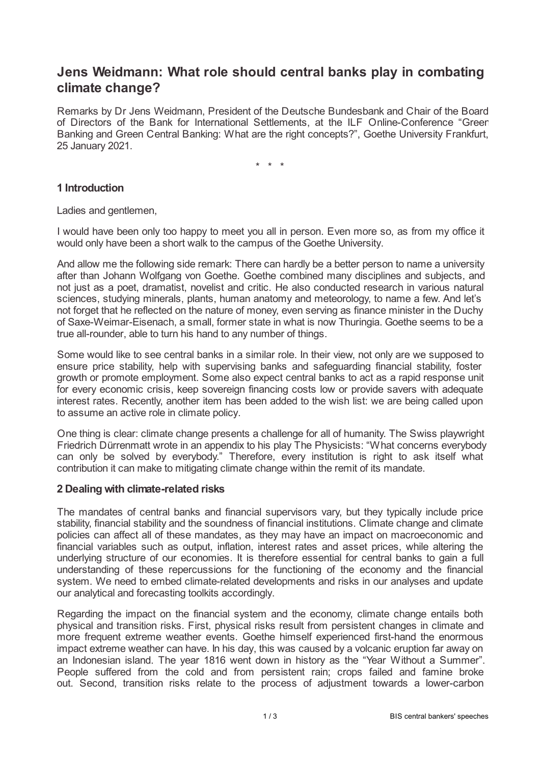# **Jens Weidmann: What role should central banks play in combating climate change?**

Remarks by Dr Jens Weidmann, President of the Deutsche Bundesbank and Chair of the Board of Directors of the Bank for International Settlements, at the ILF Online-Conference "Green Banking and Green Central Banking: What are the right concepts?", Goethe University Frankfurt, 25 January 2021.

\* \* \*

## **1 Introduction**

Ladies and gentlemen,

I would have been only too happy to meet you all in person. Even more so, as from my office it would only have been a short walk to the campus of the Goethe University.

And allow me the following side remark: There can hardly be a better person to name a university after than Johann Wolfgang von Goethe. Goethe combined many disciplines and subjects, and not just as a poet, dramatist, novelist and critic. He also conducted research in various natural sciences, studying minerals, plants, human anatomy and meteorology, to name a few. And let's not forget that he reflected on the nature of money, even serving as finance minister in the Duchy of Saxe-Weimar-Eisenach, a small, former state in what is now Thuringia. Goethe seems to be a true all-rounder, able to turn his hand to any number of things.

Some would like to see central banks in a similar role. In their view, not only are we supposed to ensure price stability, help with supervising banks and safeguarding financial stability, foster growth or promote employment. Some also expect central banks to act as a rapid response unit for every economic crisis, keep sovereign financing costs low or provide savers with adequate interest rates. Recently, another item has been added to the wish list: we are being called upon to assume an active role in climate policy.

One thing is clear: climate change presents a challenge for all of humanity. The Swiss playwright Friedrich Dürrenmatt wrote in an appendix to his play The Physicists: "What concerns everybody can only be solved by everybody." Therefore, every institution is right to ask itself what contribution it can make to mitigating climate change within the remit of its mandate.

#### **2 Dealing with climate-related risks**

The mandates of central banks and financial supervisors vary, but they typically include price stability, financial stability and the soundness of financial institutions. Climate change and climate policies can affect all of these mandates, as they may have an impact on macroeconomic and financial variables such as output, inflation, interest rates and asset prices, while altering the underlying structure of our economies. It is therefore essential for central banks to gain a full understanding of these repercussions for the functioning of the economy and the financial system. We need to embed climate-related developments and risks in our analyses and update our analytical and forecasting toolkits accordingly.

Regarding the impact on the financial system and the economy, climate change entails both physical and transition risks. First, physical risks result from persistent changes in climate and more frequent extreme weather events. Goethe himself experienced first-hand the enormous impact extreme weather can have. In his day, this was caused by a volcanic eruption far away on an Indonesian island. The year 1816 went down in history as the "Year Without a Summer". People suffered from the cold and from persistent rain; crops failed and famine broke out. Second, transition risks relate to the process of adjustment towards a lower-carbon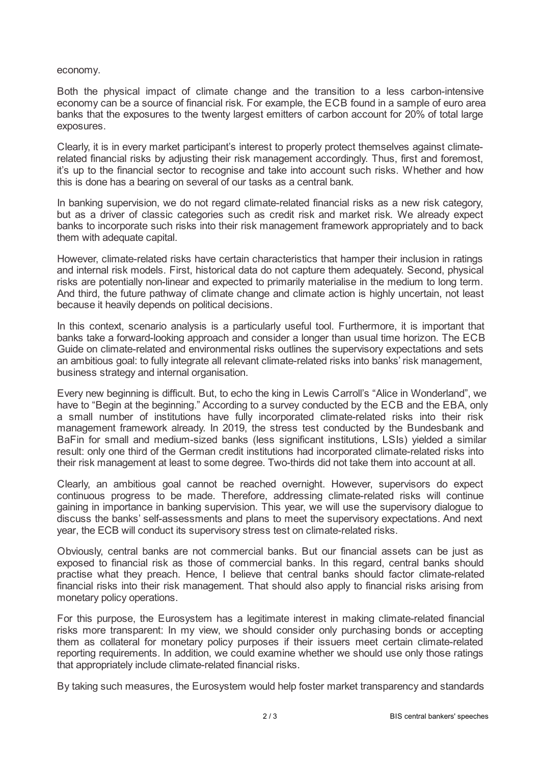#### economy.

Both the physical impact of climate change and the transition to a less carbon-intensive economy can be a source of financial risk. For example, the ECB found in a sample of euro area banks that the exposures to the twenty largest emitters of carbon account for 20% of total large exposures.

Clearly, it is in every market participant's interest to properly protect themselves against climaterelated financial risks by adjusting their risk management accordingly. Thus, first and foremost, it's up to the financial sector to recognise and take into account such risks. Whether and how this is done has a bearing on several of our tasks as a central bank.

In banking supervision, we do not regard climate-related financial risks as a new risk category, but as a driver of classic categories such as credit risk and market risk. We already expect banks to incorporate such risks into their risk management framework appropriately and to back them with adequate capital.

However, climate-related risks have certain characteristics that hamper their inclusion in ratings and internal risk models. First, historical data do not capture them adequately. Second, physical risks are potentially non-linear and expected to primarily materialise in the medium to long term. And third, the future pathway of climate change and climate action is highly uncertain, not least because it heavily depends on political decisions.

In this context, scenario analysis is a particularly useful tool. Furthermore, it is important that banks take a forward-looking approach and consider a longer than usual time horizon. The ECB Guide on climate-related and environmental risks outlines the supervisory expectations and sets an ambitious goal: to fully integrate all relevant climate-related risks into banks' risk management, business strategy and internal organisation.

Every new beginning is difficult. But, to echo the king in Lewis Carroll's "Alice in Wonderland", we have to "Begin at the beginning." According to a survey conducted by the ECB and the EBA, only a small number of institutions have fully incorporated climate-related risks into their risk management framework already. In 2019, the stress test conducted by the Bundesbank and BaFin for small and medium-sized banks (less significant institutions, LSIs) yielded a similar result: only one third of the German credit institutions had incorporated climate-related risks into their risk management at least to some degree. Two-thirds did not take them into account at all.

Clearly, an ambitious goal cannot be reached overnight. However, supervisors do expect continuous progress to be made. Therefore, addressing climate-related risks will continue gaining in importance in banking supervision. This year, we will use the supervisory dialogue to discuss the banks' self-assessments and plans to meet the supervisory expectations. And next year, the ECB will conduct its supervisory stress test on climate-related risks.

Obviously, central banks are not commercial banks. But our financial assets can be just as exposed to financial risk as those of commercial banks. In this regard, central banks should practise what they preach. Hence, I believe that central banks should factor climate-related financial risks into their risk management. That should also apply to financial risks arising from monetary policy operations.

For this purpose, the Eurosystem has a legitimate interest in making climate-related financial risks more transparent: In my view, we should consider only purchasing bonds or accepting them as collateral for monetary policy purposes if their issuers meet certain climate-related reporting requirements. In addition, we could examine whether we should use only those ratings that appropriately include climate-related financial risks.

By taking such measures, the Eurosystem would help foster market transparency and standards